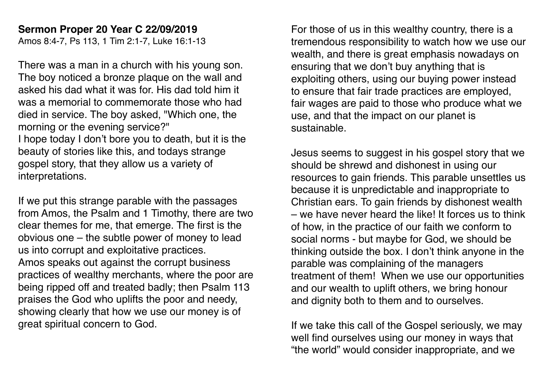## **Sermon Proper 20 Year C 22/09/2019**

Amos 8:4-7, Ps 113, 1 Tim 2:1-7, Luke 16:1-13

There was a man in a church with his young son. The boy noticed a bronze plaque on the wall and asked his dad what it was for. His dad told him it was a memorial to commemorate those who had died in service. The boy asked, "Which one, the morning or the evening service?"

I hope today I don't bore you to death, but it is the beauty of stories like this, and todays strange gospel story, that they allow us a variety of interpretations.

If we put this strange parable with the passages from Amos, the Psalm and 1 Timothy, there are two clear themes for me, that emerge. The first is the obvious one – the subtle power of money to lead us into corrupt and exploitative practices. Amos speaks out against the corrupt business practices of wealthy merchants, where the poor are being ripped off and treated badly; then Psalm 113 praises the God who uplifts the poor and needy, showing clearly that how we use our money is of great spiritual concern to God.

For those of us in this wealthy country, there is a tremendous responsibility to watch how we use our wealth, and there is great emphasis nowadays on ensuring that we don't buy anything that is exploiting others, using our buying power instead to ensure that fair trade practices are employed, fair wages are paid to those who produce what we use, and that the impact on our planet is sustainable.

Jesus seems to suggest in his gospel story that we should be shrewd and dishonest in using our resources to gain friends. This parable unsettles us because it is unpredictable and inappropriate to Christian ears. To gain friends by dishonest wealth – we have never heard the like! It forces us to think of how, in the practice of our faith we conform to social norms - but maybe for God, we should be thinking outside the box. I don't think anyone in the parable was complaining of the managers treatment of them! When we use our opportunities and our wealth to uplift others, we bring honour and dignity both to them and to ourselves.

If we take this call of the Gospel seriously, we may well find ourselves using our money in ways that "the world" would consider inappropriate, and we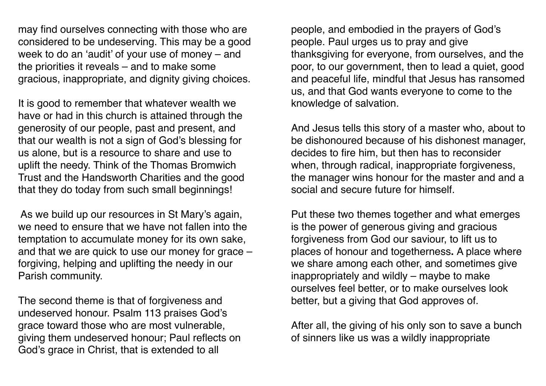may find ourselves connecting with those who are considered to be undeserving. This may be a good week to do an 'audit' of your use of money – and the priorities it reveals – and to make some gracious, inappropriate, and dignity giving choices.

It is good to remember that whatever wealth we have or had in this church is attained through the generosity of our people, past and present, and that our wealth is not a sign of God's blessing for us alone, but is a resource to share and use to uplift the needy. Think of the Thomas Bromwich Trust and the Handsworth Charities and the good that they do today from such small beginnings!

 As we build up our resources in St Mary's again, we need to ensure that we have not fallen into the temptation to accumulate money for its own sake, and that we are quick to use our money for grace – forgiving, helping and uplifting the needy in our Parish community.

The second theme is that of forgiveness and undeserved honour. Psalm 113 praises God's grace toward those who are most vulnerable, giving them undeserved honour; Paul reflects on God's grace in Christ, that is extended to all

people, and embodied in the prayers of God's people. Paul urges us to pray and give thanksgiving for everyone, from ourselves, and the poor, to our government, then to lead a quiet, good and peaceful life, mindful that Jesus has ransomed us, and that God wants everyone to come to the knowledge of salvation.

And Jesus tells this story of a master who, about to be dishonoured because of his dishonest manager, decides to fire him, but then has to reconsider when, through radical, inappropriate forgiveness, the manager wins honour for the master and and a social and secure future for himself.

Put these two themes together and what emerges is the power of generous giving and gracious forgiveness from God our saviour, to lift us to places of honour and togetherness**.** A place where we share among each other, and sometimes give inappropriately and wildly – maybe to make ourselves feel better, or to make ourselves look better, but a giving that God approves of.

After all, the giving of his only son to save a bunch of sinners like us was a wildly inappropriate